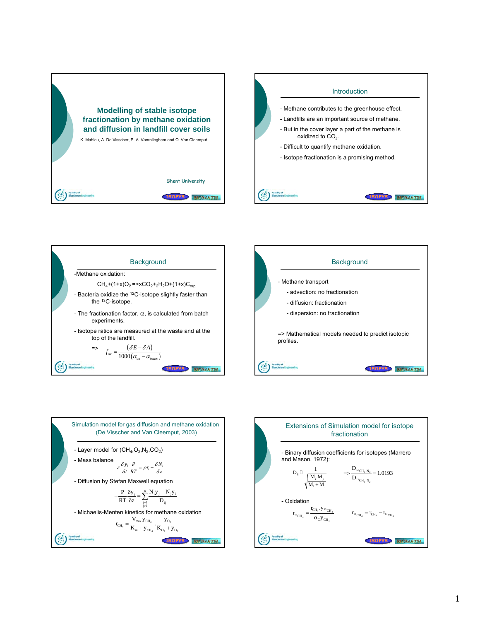



ISOFYS REOMAINE



- Michaelis-Menten kinetics for methane oxidation

 $_{j \neq i}^{\mathbf{j} = 1}$   $\boldsymbol{\nu}_{ij}$ 

 $4 = \frac{1}{\text{K}_{\text{m}} + \text{y}_{\text{CH}_4}} \cdot \frac{1}{\text{K}_{\text{O}_2} + \text{y}_{\text{O}_2}}$  $r_{\text{CH}_4} = \frac{V_{\text{max}} y_{\text{CH}_4}}{K_{\text{m}} + y_{\text{CH}_4}} \cdot \frac{y_{\text{O}_2}}{K_{\text{O}_2} + y_{\text{O}_4}}$ 

ISOFYS HOMATH

 $CH_4+(1+x)O_2 = xCO_2 +_2H_2O+(1+x)C_{org}$ 

**Background** 

-Methane oxidation:

fractionation  
\n- Binary diffusion coefficients for isotopes (Marrevo  
\nand Mason, 1972):  
\n
$$
D_{ij} \Box \frac{1}{\sqrt{\frac{M_i M_j}{M_i + M_j}}} \qquad \Rightarrow \frac{D_{12 \text{CH}_4, N_2}}{D_{13 \text{CH}_4, N_2}} = 1.0193
$$
\n- Oxidation  
\n
$$
r_{13 \text{CH}_4} = \frac{r_{\text{CH}_4} \cdot y_{13 \text{CH}_4}}{\alpha_{\text{C}} y_{\text{CH}_4}} \qquad r_{13 \text{CH}_4} = r_{\text{CH}_4} - r_{13 \text{CH}_4}
$$
\n(507)

Extensions of Simulation model for isotope

$$
1 \\
$$